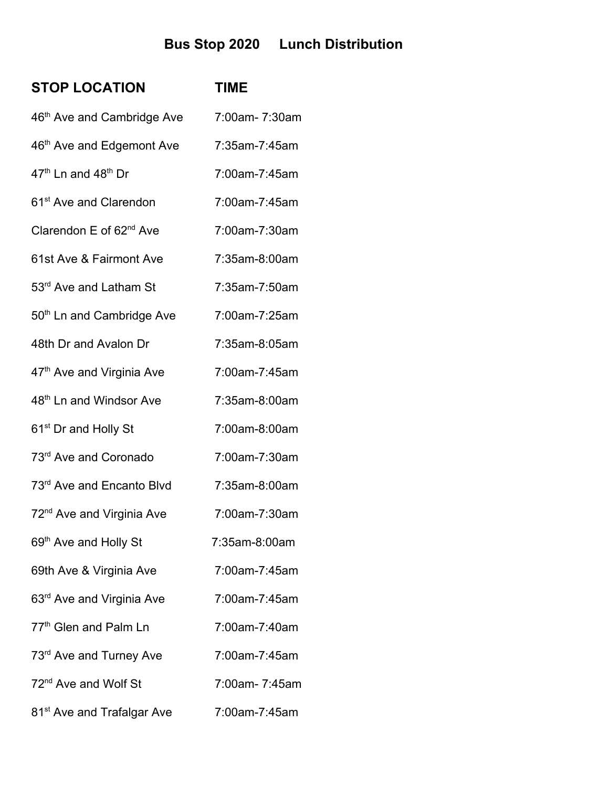## **Bus Stop 2020 Lunch Distribution**

| <b>STOP LOCATION</b>                        | <b>TIME</b>   |
|---------------------------------------------|---------------|
| 46 <sup>th</sup> Ave and Cambridge Ave      | 7:00am-7:30am |
| 46th Ave and Edgemont Ave                   | 7:35am-7:45am |
| 47 <sup>th</sup> Ln and 48 <sup>th</sup> Dr | 7:00am-7:45am |
| 61 <sup>st</sup> Ave and Clarendon          | 7:00am-7:45am |
| Clarendon E of 62 <sup>nd</sup> Ave         | 7:00am-7:30am |
| 61st Ave & Fairmont Ave                     | 7:35am-8:00am |
| 53rd Ave and Latham St                      | 7:35am-7:50am |
| 50 <sup>th</sup> Ln and Cambridge Ave       | 7:00am-7:25am |
| 48th Dr and Avalon Dr                       | 7:35am-8:05am |
| 47 <sup>th</sup> Ave and Virginia Ave       | 7:00am-7:45am |
| 48 <sup>th</sup> Ln and Windsor Ave         | 7:35am-8:00am |
| 61 <sup>st</sup> Dr and Holly St            | 7:00am-8:00am |
| 73rd Ave and Coronado                       | 7:00am-7:30am |
| 73 <sup>rd</sup> Ave and Encanto Blvd       | 7:35am-8:00am |
| 72 <sup>nd</sup> Ave and Virginia Ave       | 7:00am-7:30am |
| 69th Ave and Holly St                       | 7:35am-8:00am |
| 69th Ave & Virginia Ave                     | 7:00am-7:45am |
| 63 <sup>rd</sup> Ave and Virginia Ave       | 7:00am-7:45am |
| 77 <sup>th</sup> Glen and Palm Ln           | 7:00am-7:40am |
| 73 <sup>rd</sup> Ave and Turney Ave         | 7:00am-7:45am |
| 72 <sup>nd</sup> Ave and Wolf St            | 7:00am-7:45am |
| 81 <sup>st</sup> Ave and Trafalgar Ave      | 7:00am-7:45am |